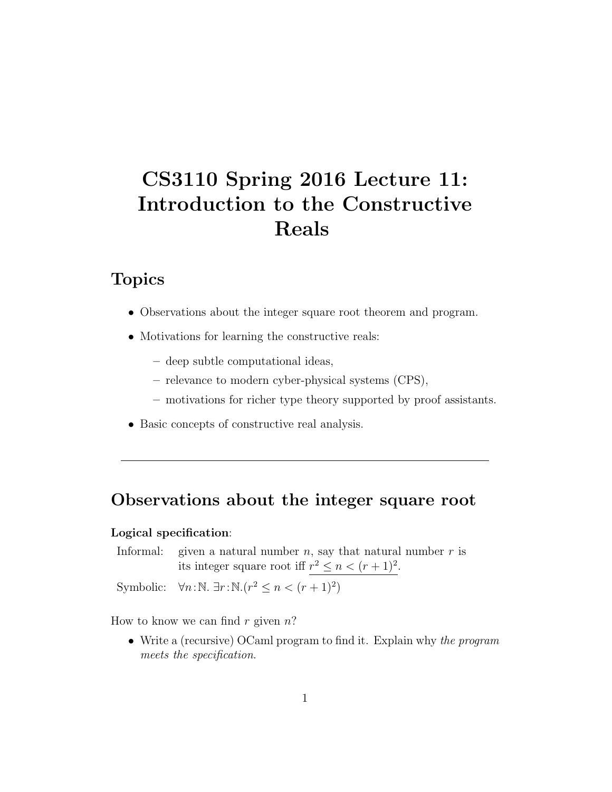# CS3110 Spring 2016 Lecture 11: Introduction to the Constructive Reals

## Topics

- Observations about the integer square root theorem and program.
- Motivations for learning the constructive reals:
	- deep subtle computational ideas,
	- relevance to modern cyber-physical systems (CPS),
	- motivations for richer type theory supported by proof assistants.
- Basic concepts of constructive real analysis.

### Observations about the integer square root

#### Logical specification:

Informal: given a natural number  $n$ , say that natural number  $r$  is its integer square root iff  $r^2 \leq n < (r+1)^2$ .

Symbolic:  $\forall n : \mathbb{N}$ .  $\exists r : \mathbb{N} \cdot (r^2 \leq n < (r+1)^2)$ 

How to know we can find  $r$  given  $n$ ?

• Write a (recursive) OCaml program to find it. Explain why the program meets the specification.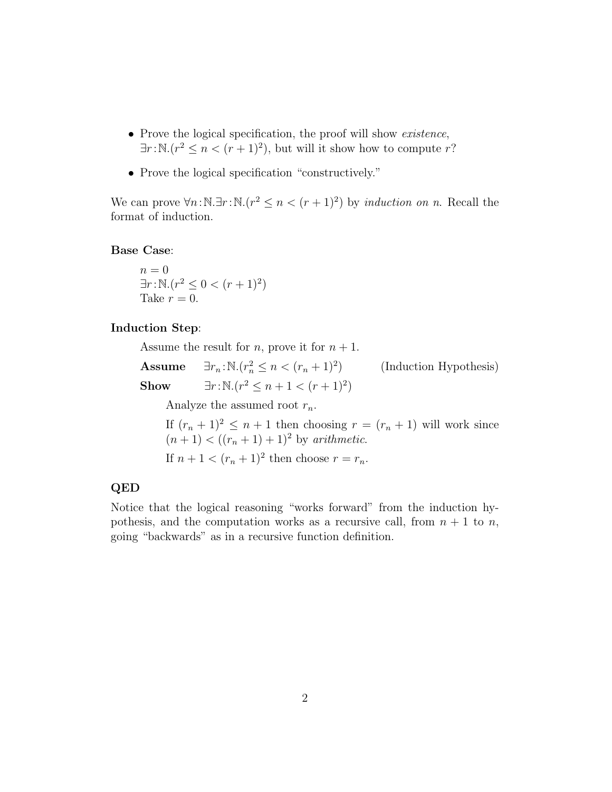- Prove the logical specification, the proof will show existence,  $\exists r : \mathbb{N}. (r^2 \leq n < (r+1)^2)$ , but will it show how to compute r?
- Prove the logical specification "constructively."

We can prove  $\forall n : \mathbb{N} \cdot \exists r : \mathbb{N} \cdot (r^2 \leq n < (r+1)^2)$  by *induction on n.* Recall the format of induction.

Base Case:

 $n = 0$  $\exists r : \mathbb{N}. (r^2 \leq 0 < (r+1)^2)$ Take  $r = 0$ .

#### Induction Step:

Assume the result for *n*, prove it for  $n + 1$ .

Assume  $\exists r_n : \mathbb{N} \cdot (r_n^2 \leq n < (r_n + 1)^2)$ ) (Induction Hypothesis) Show  $\exists r : \mathbb{N}. (r^2 \leq n+1 < (r+1)^2)$ 

Analyze the assumed root  $r_n$ .

If  $(r_n + 1)^2 \leq n + 1$  then choosing  $r = (r_n + 1)$  will work since  $(n + 1) < ((r_n + 1) + 1)^2$  by arithmetic. If  $n + 1 < (r_n + 1)^2$  then choose  $r = r_n$ .

#### QED

Notice that the logical reasoning "works forward" from the induction hypothesis, and the computation works as a recursive call, from  $n + 1$  to n, going "backwards" as in a recursive function definition.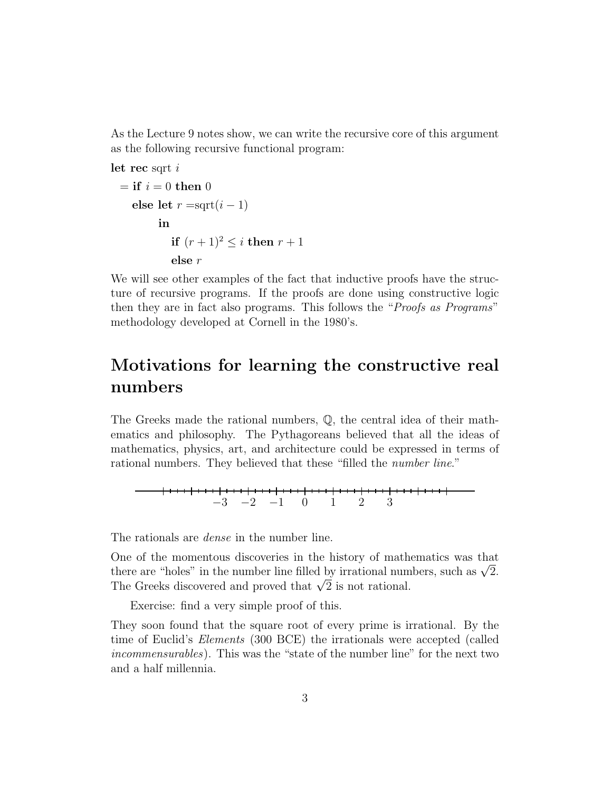As the Lecture 9 notes show, we can write the recursive core of this argument as the following recursive functional program:

let rec sqrt $i$ 

```
= if i = 0 then 0
else let r = \text{sqrt}(i - 1)in
         if (r + 1)^2 < i then r + 1else r
```
We will see other examples of the fact that inductive proofs have the structure of recursive programs. If the proofs are done using constructive logic then they are in fact also programs. This follows the "Proofs as Programs" methodology developed at Cornell in the 1980's.

# Motivations for learning the constructive real numbers

The Greeks made the rational numbers, Q, the central idea of their mathematics and philosophy. The Pythagoreans believed that all the ideas of mathematics, physics, art, and architecture could be expressed in terms of rational numbers. They believed that these "filled the *number line*."

−3 −2 −1 0 1 2 3

The rationals are *dense* in the number line.

One of the momentous discoveries in the history of mathematics was that One or the momentous discoveries in the history or mathematics was that there are "holes" in the number line filled by irrational numbers, such as  $\sqrt{2}$ . there are ~noies~ in the number line filled by irrational num<br>The Greeks discovered and proved that  $\sqrt{2}$  is not rational.

Exercise: find a very simple proof of this.

They soon found that the square root of every prime is irrational. By the time of Euclid's Elements (300 BCE) the irrationals were accepted (called incommensurables). This was the "state of the number line" for the next two and a half millennia.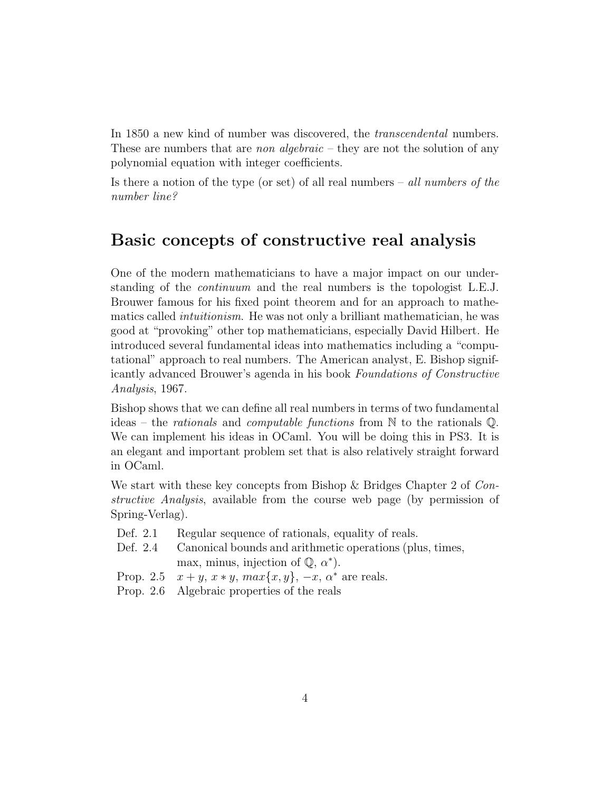In 1850 a new kind of number was discovered, the transcendental numbers. These are numbers that are *non algebraic* – they are not the solution of any polynomial equation with integer coefficients.

Is there a notion of the type (or set) of all real numbers – all numbers of the number line?

### Basic concepts of constructive real analysis

One of the modern mathematicians to have a major impact on our understanding of the continuum and the real numbers is the topologist L.E.J. Brouwer famous for his fixed point theorem and for an approach to mathematics called intuitionism. He was not only a brilliant mathematician, he was good at "provoking" other top mathematicians, especially David Hilbert. He introduced several fundamental ideas into mathematics including a "computational" approach to real numbers. The American analyst, E. Bishop significantly advanced Brouwer's agenda in his book Foundations of Constructive Analysis, 1967.

Bishop shows that we can define all real numbers in terms of two fundamental ideas – the *rationals* and *computable functions* from  $\mathbb N$  to the rationals  $\mathbb Q$ . We can implement his ideas in OCaml. You will be doing this in PS3. It is an elegant and important problem set that is also relatively straight forward in OCaml.

We start with these key concepts from Bishop & Bridges Chapter 2 of Constructive Analysis, available from the course web page (by permission of Spring-Verlag).

- Def. 2.1 Regular sequence of rationals, equality of reals.
- Def. 2.4 Canonical bounds and arithmetic operations (plus, times, max, minus, injection of  $\mathbb{Q}, \alpha^*$ ).
- Prop. 2.5  $x + y$ ,  $x * y$ ,  $max{x, y}$ ,  $-x$ ,  $\alpha^*$  are reals.
- Prop. 2.6 Algebraic properties of the reals